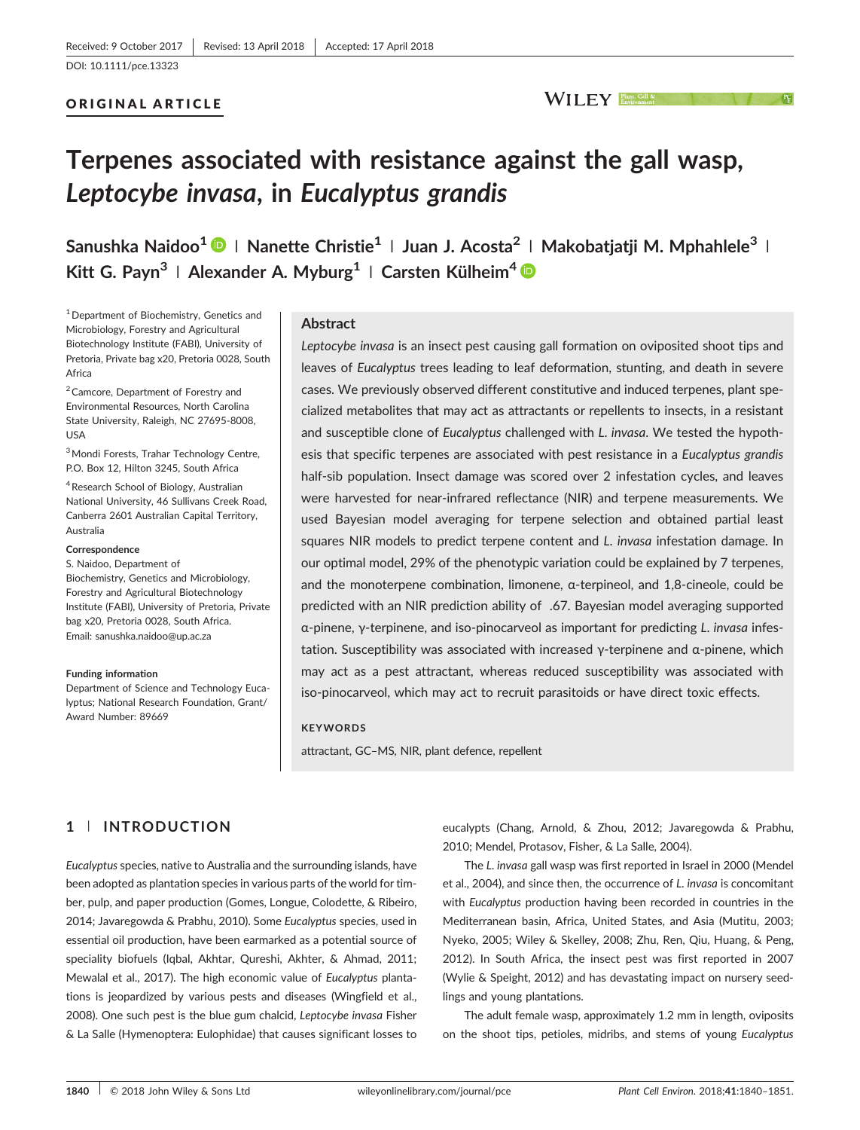#### ORIGINAL ARTICLE

# WILEY **Elant, Cell &**

# Terpenes associated with resistance against the gall wasp, Leptocybe invasa, in Eucalyptus grandis

Sanushka Naidoo<sup>1</sup> | Nanette Christie<sup>1</sup> | Juan J. Acosta<sup>2</sup> | Makobatiatii M. Mphahlele<sup>3</sup> | Kitt G. Payn<sup>3</sup> | Alexander A. Myburg<sup>1</sup> | Carsten Külheim<sup>4</sup>

<sup>1</sup> Department of Biochemistry, Genetics and Microbiology, Forestry and Agricultural Biotechnology Institute (FABI), University of Pretoria, Private bag x20, Pretoria 0028, South Africa

<sup>2</sup> Camcore, Department of Forestry and Environmental Resources, North Carolina State University, Raleigh, NC 27695‐8008, USA

3Mondi Forests, Trahar Technology Centre, P.O. Box 12, Hilton 3245, South Africa

<sup>4</sup> Research School of Biology, Australian National University, 46 Sullivans Creek Road, Canberra 2601 Australian Capital Territory, Australia

#### Correspondence

S. Naidoo, Department of Biochemistry, Genetics and Microbiology, Forestry and Agricultural Biotechnology Institute (FABI), University of Pretoria, Private bag x20, Pretoria 0028, South Africa. Email: [sanushka.naidoo@up.ac.za](mailto:sanushka.naidoo@up.ac.za)

#### Funding information

Department of Science and Technology Eucalyptus; National Research Foundation, Grant/ Award Number: 89669

#### Abstract

Leptocybe invasa is an insect pest causing gall formation on oviposited shoot tips and leaves of Eucalyptus trees leading to leaf deformation, stunting, and death in severe cases. We previously observed different constitutive and induced terpenes, plant specialized metabolites that may act as attractants or repellents to insects, in a resistant and susceptible clone of Eucalyptus challenged with L. invasa. We tested the hypothesis that specific terpenes are associated with pest resistance in a Eucalyptus grandis half-sib population. Insect damage was scored over 2 infestation cycles, and leaves were harvested for near-infrared reflectance (NIR) and terpene measurements. We used Bayesian model averaging for terpene selection and obtained partial least squares NIR models to predict terpene content and L. invasa infestation damage. In our optimal model, 29% of the phenotypic variation could be explained by 7 terpenes, and the monoterpene combination, limonene, α‐terpineol, and 1,8‐cineole, could be predicted with an NIR prediction ability of .67. Bayesian model averaging supported α‐pinene, γ‐terpinene, and iso‐pinocarveol as important for predicting L. invasa infestation. Susceptibility was associated with increased γ‐terpinene and α‐pinene, which may act as a pest attractant, whereas reduced susceptibility was associated with iso‐pinocarveol, which may act to recruit parasitoids or have direct toxic effects.

#### **KEYWORDS**

attractant, GC–MS, NIR, plant defence, repellent

# 1 | INTRODUCTION

Eucalyptus species, native to Australia and the surrounding islands, have been adopted as plantation species in various parts of the world for timber, pulp, and paper production (Gomes, Longue, Colodette, & Ribeiro, 2014; Javaregowda & Prabhu, 2010). Some Eucalyptus species, used in essential oil production, have been earmarked as a potential source of speciality biofuels (Iqbal, Akhtar, Qureshi, Akhter, & Ahmad, 2011; Mewalal et al., 2017). The high economic value of Eucalyptus plantations is jeopardized by various pests and diseases (Wingfield et al., 2008). One such pest is the blue gum chalcid, Leptocybe invasa Fisher & La Salle (Hymenoptera: Eulophidae) that causes significant losses to

eucalypts (Chang, Arnold, & Zhou, 2012; Javaregowda & Prabhu, 2010; Mendel, Protasov, Fisher, & La Salle, 2004).

The L. invasa gall wasp was first reported in Israel in 2000 (Mendel et al., 2004), and since then, the occurrence of L. invasa is concomitant with Eucalyptus production having been recorded in countries in the Mediterranean basin, Africa, United States, and Asia (Mutitu, 2003; Nyeko, 2005; Wiley & Skelley, 2008; Zhu, Ren, Qiu, Huang, & Peng, 2012). In South Africa, the insect pest was first reported in 2007 (Wylie & Speight, 2012) and has devastating impact on nursery seedlings and young plantations.

The adult female wasp, approximately 1.2 mm in length, oviposits on the shoot tips, petioles, midribs, and stems of young Eucalyptus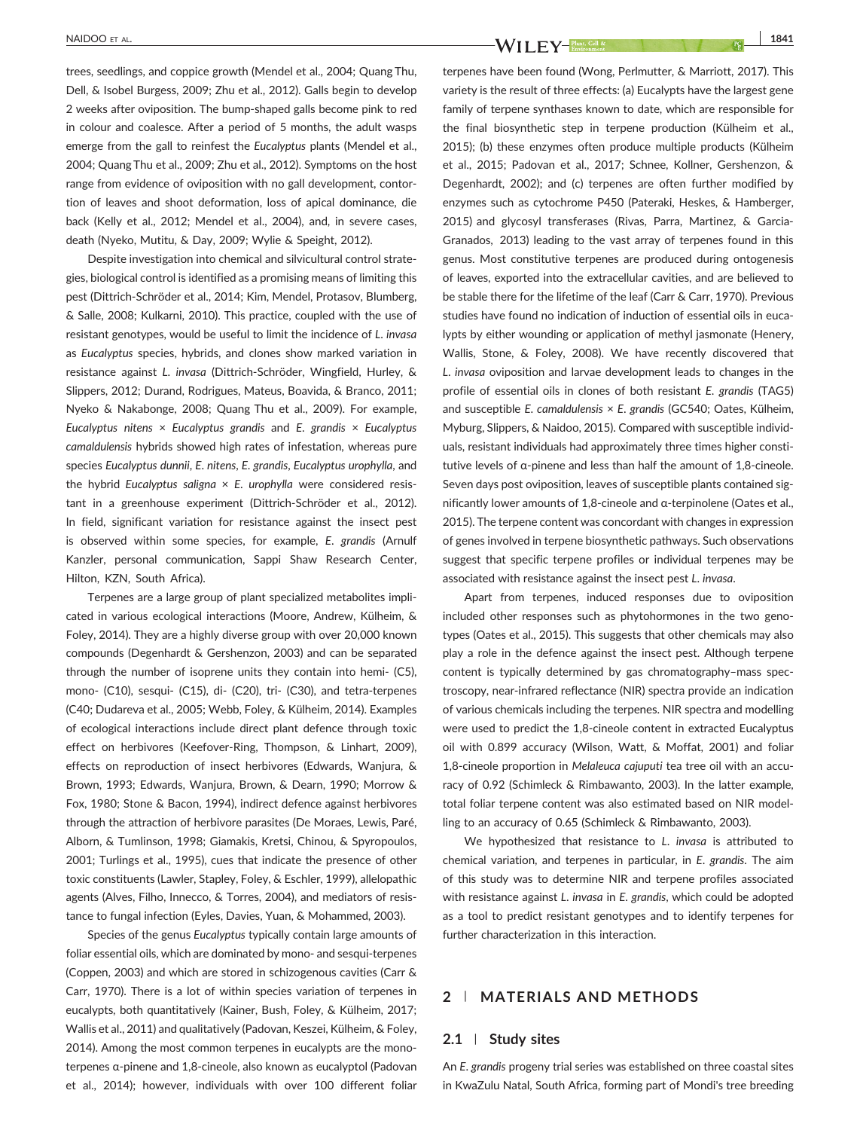trees, seedlings, and coppice growth (Mendel et al., 2004; Quang Thu, Dell, & Isobel Burgess, 2009; Zhu et al., 2012). Galls begin to develop 2 weeks after oviposition. The bump‐shaped galls become pink to red in colour and coalesce. After a period of 5 months, the adult wasps emerge from the gall to reinfest the Eucalyptus plants (Mendel et al., 2004; Quang Thu et al., 2009; Zhu et al., 2012). Symptoms on the host range from evidence of oviposition with no gall development, contortion of leaves and shoot deformation, loss of apical dominance, die back (Kelly et al., 2012; Mendel et al., 2004), and, in severe cases, death (Nyeko, Mutitu, & Day, 2009; Wylie & Speight, 2012).

Despite investigation into chemical and silvicultural control strategies, biological control is identified as a promising means of limiting this pest (Dittrich‐Schröder et al., 2014; Kim, Mendel, Protasov, Blumberg, & Salle, 2008; Kulkarni, 2010). This practice, coupled with the use of resistant genotypes, would be useful to limit the incidence of L. invasa as Eucalyptus species, hybrids, and clones show marked variation in resistance against L. invasa (Dittrich‐Schröder, Wingfield, Hurley, & Slippers, 2012; Durand, Rodrigues, Mateus, Boavida, & Branco, 2011; Nyeko & Nakabonge, 2008; Quang Thu et al., 2009). For example, Eucalyptus nitens  $\times$  Eucalyptus grandis and E. grandis  $\times$  Eucalyptus camaldulensis hybrids showed high rates of infestation, whereas pure species Eucalyptus dunnii, E. nitens, E. grandis, Eucalyptus urophylla, and the hybrid Eucalyptus saligna  $\times$  E. urophylla were considered resistant in a greenhouse experiment (Dittrich‐Schröder et al., 2012). In field, significant variation for resistance against the insect pest is observed within some species, for example, E. grandis (Arnulf Kanzler, personal communication, Sappi Shaw Research Center, Hilton, KZN, South Africa).

Terpenes are a large group of plant specialized metabolites implicated in various ecological interactions (Moore, Andrew, Külheim, & Foley, 2014). They are a highly diverse group with over 20,000 known compounds (Degenhardt & Gershenzon, 2003) and can be separated through the number of isoprene units they contain into hemi‐ (C5), mono‐ (C10), sesqui‐ (C15), di‐ (C20), tri‐ (C30), and tetra‐terpenes (C40; Dudareva et al., 2005; Webb, Foley, & Külheim, 2014). Examples of ecological interactions include direct plant defence through toxic effect on herbivores (Keefover‐Ring, Thompson, & Linhart, 2009), effects on reproduction of insect herbivores (Edwards, Wanjura, & Brown, 1993; Edwards, Wanjura, Brown, & Dearn, 1990; Morrow & Fox, 1980; Stone & Bacon, 1994), indirect defence against herbivores through the attraction of herbivore parasites (De Moraes, Lewis, Paré, Alborn, & Tumlinson, 1998; Giamakis, Kretsi, Chinou, & Spyropoulos, 2001; Turlings et al., 1995), cues that indicate the presence of other toxic constituents (Lawler, Stapley, Foley, & Eschler, 1999), allelopathic agents (Alves, Filho, Innecco, & Torres, 2004), and mediators of resistance to fungal infection (Eyles, Davies, Yuan, & Mohammed, 2003).

Species of the genus Eucalyptus typically contain large amounts of foliar essential oils, which are dominated by mono‐ and sesqui‐terpenes (Coppen, 2003) and which are stored in schizogenous cavities (Carr & Carr, 1970). There is a lot of within species variation of terpenes in eucalypts, both quantitatively (Kainer, Bush, Foley, & Külheim, 2017; Wallis et al., 2011) and qualitatively (Padovan, Keszei, Külheim, & Foley, 2014). Among the most common terpenes in eucalypts are the monoterpenes α‐pinene and 1,8‐cineole, also known as eucalyptol (Padovan et al., 2014); however, individuals with over 100 different foliar

NAIDOO ET AL. 1841  $\mathbb{F}_{\mathbf{F}}$  and  $\mathbb{F}_{\mathbf{F}}$  and  $\mathbb{F}_{\mathbf{F}}$  and  $\mathbb{F}_{\mathbf{F}}$  and  $\mathbb{F}_{\mathbf{F}}$  and  $\mathbb{F}_{\mathbf{F}}$  and  $\mathbb{F}_{\mathbf{F}}$  and  $\mathbb{F}_{\mathbf{F}}$  and  $\mathbb{F}_{\mathbf{F}}$  and  $\mathbb{F}_{\mathbf{F}}$  and  $\mathbb{F}_{\mathbf{F$ 

terpenes have been found (Wong, Perlmutter, & Marriott, 2017). This variety is the result of three effects: (a) Eucalypts have the largest gene family of terpene synthases known to date, which are responsible for the final biosynthetic step in terpene production (Külheim et al., 2015); (b) these enzymes often produce multiple products (Külheim et al., 2015; Padovan et al., 2017; Schnee, Kollner, Gershenzon, & Degenhardt, 2002); and (c) terpenes are often further modified by enzymes such as cytochrome P450 (Pateraki, Heskes, & Hamberger, 2015) and glycosyl transferases (Rivas, Parra, Martinez, & Garcia‐ Granados, 2013) leading to the vast array of terpenes found in this genus. Most constitutive terpenes are produced during ontogenesis of leaves, exported into the extracellular cavities, and are believed to be stable there for the lifetime of the leaf (Carr & Carr, 1970). Previous studies have found no indication of induction of essential oils in eucalypts by either wounding or application of methyl jasmonate (Henery, Wallis, Stone, & Foley, 2008). We have recently discovered that L. invasa oviposition and larvae development leads to changes in the profile of essential oils in clones of both resistant E. grandis (TAG5) and susceptible E. camaldulensis × E. grandis (GC540; Oates, Külheim, Myburg, Slippers, & Naidoo, 2015). Compared with susceptible individuals, resistant individuals had approximately three times higher constitutive levels of α‐pinene and less than half the amount of 1,8‐cineole. Seven days post oviposition, leaves of susceptible plants contained significantly lower amounts of 1,8‐cineole and α‐terpinolene (Oates et al., 2015). The terpene content was concordant with changes in expression of genes involved in terpene biosynthetic pathways. Such observations suggest that specific terpene profiles or individual terpenes may be associated with resistance against the insect pest L. invasa.

Apart from terpenes, induced responses due to oviposition included other responses such as phytohormones in the two genotypes (Oates et al., 2015). This suggests that other chemicals may also play a role in the defence against the insect pest. Although terpene content is typically determined by gas chromatography–mass spectroscopy, near‐infrared reflectance (NIR) spectra provide an indication of various chemicals including the terpenes. NIR spectra and modelling were used to predict the 1,8‐cineole content in extracted Eucalyptus oil with 0.899 accuracy (Wilson, Watt, & Moffat, 2001) and foliar 1,8-cineole proportion in Melaleuca cajuputi tea tree oil with an accuracy of 0.92 (Schimleck & Rimbawanto, 2003). In the latter example, total foliar terpene content was also estimated based on NIR modelling to an accuracy of 0.65 (Schimleck & Rimbawanto, 2003).

We hypothesized that resistance to L. invasa is attributed to chemical variation, and terpenes in particular, in E. grandis. The aim of this study was to determine NIR and terpene profiles associated with resistance against L. invasa in E. grandis, which could be adopted as a tool to predict resistant genotypes and to identify terpenes for further characterization in this interaction.

#### 2 | MATERIALS AND METHODS

#### 2.1 | Study sites

An E. grandis progeny trial series was established on three coastal sites in KwaZulu Natal, South Africa, forming part of Mondi's tree breeding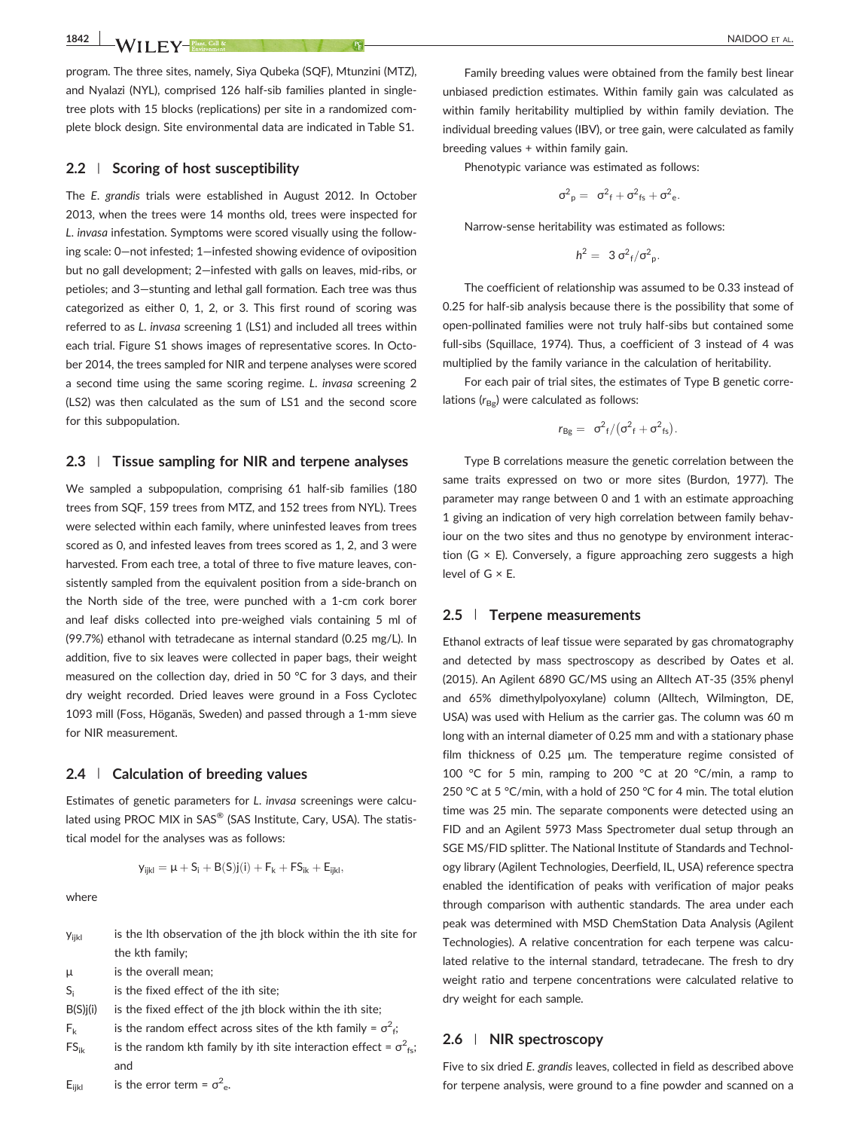program. The three sites, namely, Siya Qubeka (SQF), Mtunzini (MTZ), and Nyalazi (NYL), comprised 126 half‐sib families planted in single‐ tree plots with 15 blocks (replications) per site in a randomized complete block design. Site environmental data are indicated in Table S1.

#### 2.2 | Scoring of host susceptibility

The E. grandis trials were established in August 2012. In October 2013, when the trees were 14 months old, trees were inspected for L. invasa infestation. Symptoms were scored visually using the following scale: 0—not infested; 1—infested showing evidence of oviposition but no gall development; 2—infested with galls on leaves, mid‐ribs, or petioles; and 3—stunting and lethal gall formation. Each tree was thus categorized as either 0, 1, 2, or 3. This first round of scoring was referred to as L. invasa screening 1 (LS1) and included all trees within each trial. Figure S1 shows images of representative scores. In October 2014, the trees sampled for NIR and terpene analyses were scored a second time using the same scoring regime. L. invasa screening 2 (LS2) was then calculated as the sum of LS1 and the second score for this subpopulation.

#### 2.3 | Tissue sampling for NIR and terpene analyses

We sampled a subpopulation, comprising 61 half-sib families (180 trees from SQF, 159 trees from MTZ, and 152 trees from NYL). Trees were selected within each family, where uninfested leaves from trees scored as 0, and infested leaves from trees scored as 1, 2, and 3 were harvested. From each tree, a total of three to five mature leaves, consistently sampled from the equivalent position from a side‐branch on the North side of the tree, were punched with a 1‐cm cork borer and leaf disks collected into pre‐weighed vials containing 5 ml of (99.7%) ethanol with tetradecane as internal standard (0.25 mg/L). In addition, five to six leaves were collected in paper bags, their weight measured on the collection day, dried in 50 °C for 3 days, and their dry weight recorded. Dried leaves were ground in a Foss Cyclotec 1093 mill (Foss, Höganäs, Sweden) and passed through a 1‐mm sieve for NIR measurement.

#### 2.4 | Calculation of breeding values

Estimates of genetic parameters for L. invasa screenings were calculated using PROC MIX in SAS® (SAS Institute, Cary, USA). The statistical model for the analyses was as follows:

$$
\mathsf{y}_{ijkl} = \mu + S_i + B(S)j(i) + F_k + FS_{ik} + E_{ijkl},
$$

where

| <b>Yijkl</b>   | is the lth observation of the jth block within the ith site for                 |
|----------------|---------------------------------------------------------------------------------|
|                | the kth family:                                                                 |
| μ              | is the overall mean;                                                            |
| $S_i$          | is the fixed effect of the ith site;                                            |
| $B(S)$ j $(i)$ | is the fixed effect of the jth block within the ith site;                       |
| $F_{k}$        | is the random effect across sites of the kth family = $\sigma^2$ <sub>f</sub> ; |
| $FS_{ik}$      | is the random kth family by ith site interaction effect = $\sigma^2_{fs}$ ;     |
|                | and                                                                             |
|                |                                                                                 |

Family breeding values were obtained from the family best linear unbiased prediction estimates. Within family gain was calculated as within family heritability multiplied by within family deviation. The individual breeding values (IBV), or tree gain, were calculated as family breeding values + within family gain.

Phenotypic variance was estimated as follows:

$$
\sigma^2{}_{p}=\ \sigma^2{}_{f}+\sigma^2{}_{fs}+\sigma^2{}_{e}.
$$

Narrow‐sense heritability was estimated as follows:

$$
h^2 = 3 \sigma^2_f/\sigma^2_p.
$$

The coefficient of relationship was assumed to be 0.33 instead of 0.25 for half-sib analysis because there is the possibility that some of open‐pollinated families were not truly half‐sibs but contained some full-sibs (Squillace, 1974). Thus, a coefficient of 3 instead of 4 was multiplied by the family variance in the calculation of heritability.

For each pair of trial sites, the estimates of Type B genetic correlations  $(r_{\text{Bg}})$  were calculated as follows:

$$
r_{Bg} = \sigma^2_f/(\sigma^2_f + \sigma^2_{fs}).
$$

Type B correlations measure the genetic correlation between the same traits expressed on two or more sites (Burdon, 1977). The parameter may range between 0 and 1 with an estimate approaching 1 giving an indication of very high correlation between family behaviour on the two sites and thus no genotype by environment interaction (G  $\times$  E). Conversely, a figure approaching zero suggests a high level of G × E.

#### 2.5 | Terpene measurements

Ethanol extracts of leaf tissue were separated by gas chromatography and detected by mass spectroscopy as described by Oates et al. (2015). An Agilent 6890 GC/MS using an Alltech AT‐35 (35% phenyl and 65% dimethylpolyoxylane) column (Alltech, Wilmington, DE, USA) was used with Helium as the carrier gas. The column was 60 m long with an internal diameter of 0.25 mm and with a stationary phase film thickness of 0.25 μm. The temperature regime consisted of 100 °C for 5 min, ramping to 200 °C at 20 °C/min, a ramp to 250 °C at 5 °C/min, with a hold of 250 °C for 4 min. The total elution time was 25 min. The separate components were detected using an FID and an Agilent 5973 Mass Spectrometer dual setup through an SGE MS/FID splitter. The National Institute of Standards and Technology library (Agilent Technologies, Deerfield, IL, USA) reference spectra enabled the identification of peaks with verification of major peaks through comparison with authentic standards. The area under each peak was determined with MSD ChemStation Data Analysis (Agilent Technologies). A relative concentration for each terpene was calculated relative to the internal standard, tetradecane. The fresh to dry weight ratio and terpene concentrations were calculated relative to dry weight for each sample.

#### 2.6 | NIR spectroscopy

Five to six dried E. grandis leaves, collected in field as described above for terpene analysis, were ground to a fine powder and scanned on a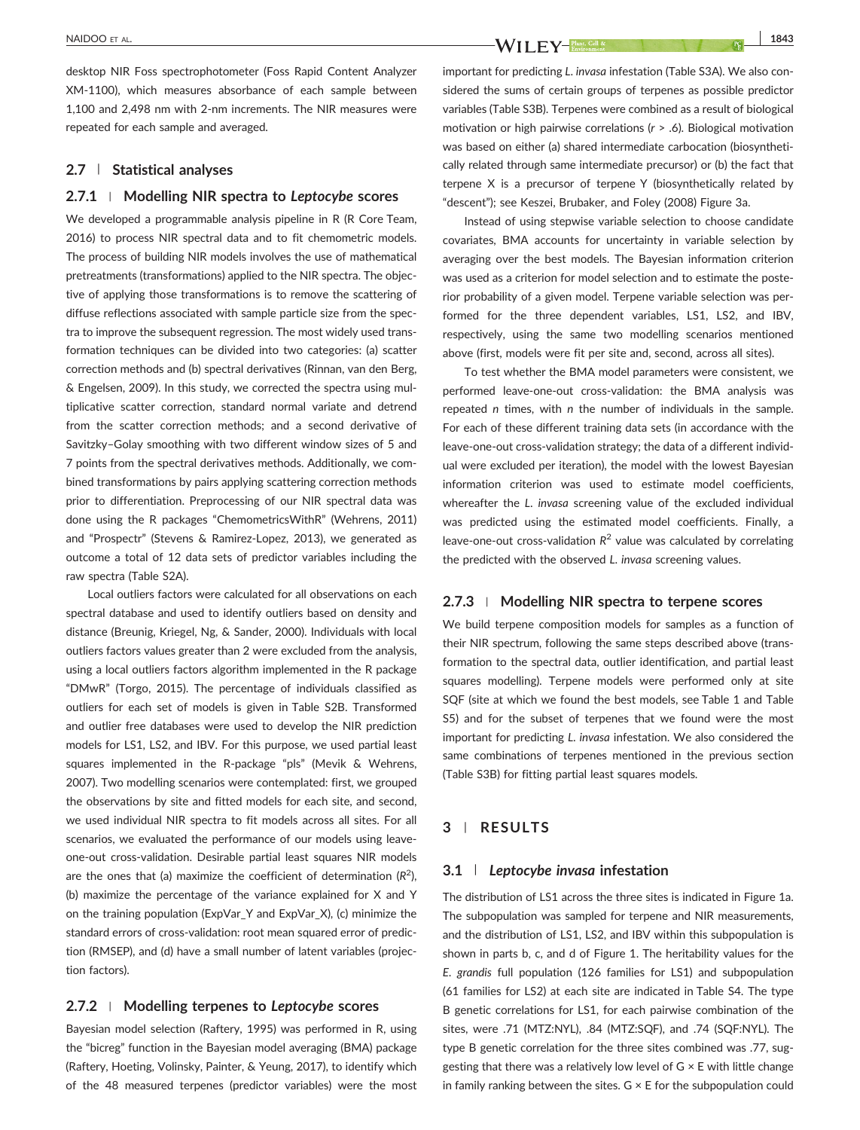desktop NIR Foss spectrophotometer (Foss Rapid Content Analyzer XM‐1100), which measures absorbance of each sample between 1,100 and 2,498 nm with 2‐nm increments. The NIR measures were repeated for each sample and averaged.

#### 2.7 | Statistical analyses

#### 2.7.1 | Modelling NIR spectra to Leptocybe scores

We developed a programmable analysis pipeline in R (R Core Team, 2016) to process NIR spectral data and to fit chemometric models. The process of building NIR models involves the use of mathematical pretreatments (transformations) applied to the NIR spectra. The objective of applying those transformations is to remove the scattering of diffuse reflections associated with sample particle size from the spectra to improve the subsequent regression. The most widely used transformation techniques can be divided into two categories: (a) scatter correction methods and (b) spectral derivatives (Rinnan, van den Berg, & Engelsen, 2009). In this study, we corrected the spectra using multiplicative scatter correction, standard normal variate and detrend from the scatter correction methods; and a second derivative of Savitzky–Golay smoothing with two different window sizes of 5 and 7 points from the spectral derivatives methods. Additionally, we combined transformations by pairs applying scattering correction methods prior to differentiation. Preprocessing of our NIR spectral data was done using the R packages "ChemometricsWithR" (Wehrens, 2011) and "Prospectr" (Stevens & Ramirez‐Lopez, 2013), we generated as outcome a total of 12 data sets of predictor variables including the raw spectra (Table S2A).

Local outliers factors were calculated for all observations on each spectral database and used to identify outliers based on density and distance (Breunig, Kriegel, Ng, & Sander, 2000). Individuals with local outliers factors values greater than 2 were excluded from the analysis, using a local outliers factors algorithm implemented in the R package "DMwR" (Torgo, 2015). The percentage of individuals classified as outliers for each set of models is given in Table S2B. Transformed and outlier free databases were used to develop the NIR prediction models for LS1, LS2, and IBV. For this purpose, we used partial least squares implemented in the R‐package "pls" (Mevik & Wehrens, 2007). Two modelling scenarios were contemplated: first, we grouped the observations by site and fitted models for each site, and second, we used individual NIR spectra to fit models across all sites. For all scenarios, we evaluated the performance of our models using leave‐ one‐out cross‐validation. Desirable partial least squares NIR models are the ones that (a) maximize the coefficient of determination ( $R^2$ ), (b) maximize the percentage of the variance explained for X and Y on the training population (ExpVar\_Y and ExpVar\_X), (c) minimize the standard errors of cross-validation: root mean squared error of prediction (RMSEP), and (d) have a small number of latent variables (projection factors).

#### 2.7.2 | Modelling terpenes to Leptocybe scores

Bayesian model selection (Raftery, 1995) was performed in R, using the "bicreg" function in the Bayesian model averaging (BMA) package (Raftery, Hoeting, Volinsky, Painter, & Yeung, 2017), to identify which of the 48 measured terpenes (predictor variables) were the most

NAIDOO ET AL. 1843

important for predicting L. invasa infestation (Table S3A). We also considered the sums of certain groups of terpenes as possible predictor variables (Table S3B). Terpenes were combined as a result of biological motivation or high pairwise correlations (r > .6). Biological motivation was based on either (a) shared intermediate carbocation (biosynthetically related through same intermediate precursor) or (b) the fact that terpene X is a precursor of terpene Y (biosynthetically related by "descent"); see Keszei, Brubaker, and Foley (2008) Figure 3a.

Instead of using stepwise variable selection to choose candidate covariates, BMA accounts for uncertainty in variable selection by averaging over the best models. The Bayesian information criterion was used as a criterion for model selection and to estimate the posterior probability of a given model. Terpene variable selection was performed for the three dependent variables, LS1, LS2, and IBV, respectively, using the same two modelling scenarios mentioned above (first, models were fit per site and, second, across all sites).

To test whether the BMA model parameters were consistent, we performed leave-one-out cross-validation: the BMA analysis was repeated n times, with n the number of individuals in the sample. For each of these different training data sets (in accordance with the leave‐one‐out cross‐validation strategy; the data of a different individual were excluded per iteration), the model with the lowest Bayesian information criterion was used to estimate model coefficients, whereafter the L. invasa screening value of the excluded individual was predicted using the estimated model coefficients. Finally, a leave-one-out cross-validation  $R^2$  value was calculated by correlating the predicted with the observed L. invasa screening values.

#### 2.7.3 | Modelling NIR spectra to terpene scores

We build terpene composition models for samples as a function of their NIR spectrum, following the same steps described above (transformation to the spectral data, outlier identification, and partial least squares modelling). Terpene models were performed only at site SQF (site at which we found the best models, see Table 1 and Table S5) and for the subset of terpenes that we found were the most important for predicting L. invasa infestation. We also considered the same combinations of terpenes mentioned in the previous section (Table S3B) for fitting partial least squares models.

#### 3 | RESULTS

#### 3.1 | Leptocybe invasa infestation

The distribution of LS1 across the three sites is indicated in Figure 1a. The subpopulation was sampled for terpene and NIR measurements, and the distribution of LS1, LS2, and IBV within this subpopulation is shown in parts b, c, and d of Figure 1. The heritability values for the E. grandis full population (126 families for LS1) and subpopulation (61 families for LS2) at each site are indicated in Table S4. The type B genetic correlations for LS1, for each pairwise combination of the sites, were .71 (MTZ:NYL), .84 (MTZ:SQF), and .74 (SQF:NYL). The type B genetic correlation for the three sites combined was .77, suggesting that there was a relatively low level of  $G \times E$  with little change in family ranking between the sites.  $G \times E$  for the subpopulation could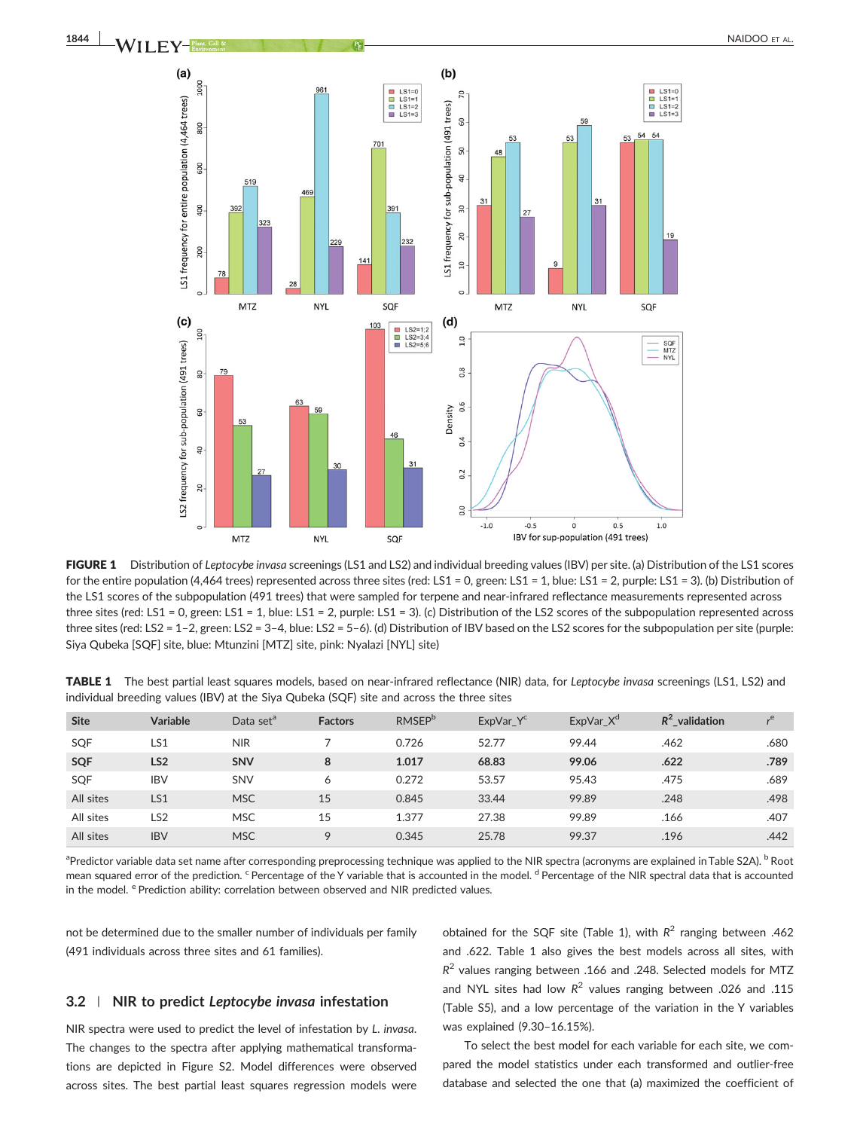

FIGURE 1 Distribution of Leptocybe invasa screenings (LS1 and LS2) and individual breeding values (IBV) per site. (a) Distribution of the LS1 scores for the entire population (4,464 trees) represented across three sites (red: LS1 = 0, green: LS1 = 1, blue: LS1 = 2, purple: LS1 = 3). (b) Distribution of the LS1 scores of the subpopulation (491 trees) that were sampled for terpene and near-infrared reflectance measurements represented across three sites (red: LS1 = 0, green: LS1 = 1, blue: LS1 = 2, purple: LS1 = 3). (c) Distribution of the LS2 scores of the subpopulation represented across three sites (red: LS2 = 1–2, green: LS2 = 3–4, blue: LS2 = 5–6). (d) Distribution of IBV based on the LS2 scores for the subpopulation per site (purple: Siya Qubeka [SQF] site, blue: Mtunzini [MTZ] site, pink: Nyalazi [NYL] site)

| TABLE 1 The best partial least squares models, based on near-infrared reflectance (NIR) data, for Leptocybe invasa screenings (LS1, LS2) and |  |  |  |  |
|----------------------------------------------------------------------------------------------------------------------------------------------|--|--|--|--|
| individual breeding values (IBV) at the Siya Qubeka (SQF) site and across the three sites                                                    |  |  |  |  |

| <b>Site</b> | <b>Variable</b> | Data set <sup>a</sup> | <b>Factors</b> | <b>RMSEP</b> <sup>b</sup> | ExpVar_Y <sup>c</sup> | ExpVar_X <sup>d</sup> | $R^2$ validation | "e   |
|-------------|-----------------|-----------------------|----------------|---------------------------|-----------------------|-----------------------|------------------|------|
| SQF         | LS1             | <b>NIR</b>            |                | 0.726                     | 52.77                 | 99.44                 | .462             | .680 |
| <b>SQF</b>  | LS <sub>2</sub> | <b>SNV</b>            | 8              | 1.017                     | 68.83                 | 99.06                 | .622             | .789 |
| SQF         | <b>IBV</b>      | SNV                   | 6              | 0.272                     | 53.57                 | 95.43                 | .475             | .689 |
| All sites   | LS1             | <b>MSC</b>            | 15             | 0.845                     | 33.44                 | 99.89                 | .248             | .498 |
| All sites   | LS <sub>2</sub> | <b>MSC</b>            | 15             | 1.377                     | 27.38                 | 99.89                 | .166             | .407 |
| All sites   | <b>IBV</b>      | <b>MSC</b>            | 9              | 0.345                     | 25.78                 | 99.37                 | .196             | .442 |

<sup>a</sup>Predictor variable data set name after corresponding preprocessing technique was applied to the NIR spectra (acronyms are explained in Table S2A). <sup>b</sup> Root mean squared error of the prediction. <sup>c</sup> Percentage of the Y variable that is accounted in the model. <sup>d</sup> Percentage of the NIR spectral data that is accounted in the model. <sup>e</sup> Prediction ability: correlation between observed and NIR predicted values.

not be determined due to the smaller number of individuals per family (491 individuals across three sites and 61 families).

#### 3.2 | NIR to predict Leptocybe invasa infestation

NIR spectra were used to predict the level of infestation by L. invasa. The changes to the spectra after applying mathematical transformations are depicted in Figure S2. Model differences were observed across sites. The best partial least squares regression models were

obtained for the SQF site (Table 1), with  $R^2$  ranging between .462 and .622. Table 1 also gives the best models across all sites, with  $R<sup>2</sup>$  values ranging between .166 and .248. Selected models for MTZ and NYL sites had low  $R^2$  values ranging between .026 and .115 (Table S5), and a low percentage of the variation in the Y variables was explained (9.30–16.15%).

To select the best model for each variable for each site, we compared the model statistics under each transformed and outlier‐free database and selected the one that (a) maximized the coefficient of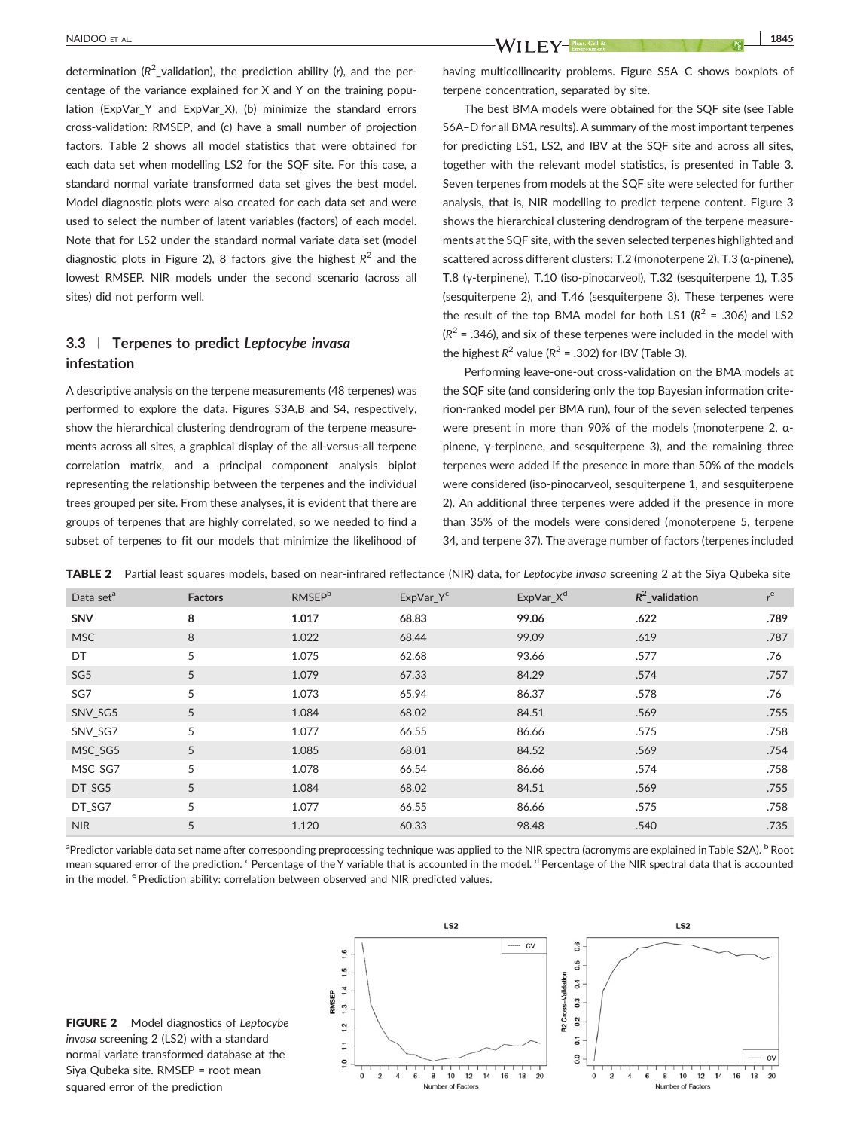determination ( $R^2$ \_validation), the prediction ability (r), and the percentage of the variance explained for X and Y on the training population (ExpVar\_Y and ExpVar\_X), (b) minimize the standard errors cross‐validation: RMSEP, and (c) have a small number of projection factors. Table 2 shows all model statistics that were obtained for each data set when modelling LS2 for the SQF site. For this case, a standard normal variate transformed data set gives the best model. Model diagnostic plots were also created for each data set and were used to select the number of latent variables (factors) of each model. Note that for LS2 under the standard normal variate data set (model diagnostic plots in Figure 2), 8 factors give the highest  $R^2$  and the lowest RMSEP. NIR models under the second scenario (across all sites) did not perform well.

## 3.3 Terpenes to predict Leptocybe invasa infestation

A descriptive analysis on the terpene measurements (48 terpenes) was performed to explore the data. Figures S3A,B and S4, respectively, show the hierarchical clustering dendrogram of the terpene measurements across all sites, a graphical display of the all‐versus‐all terpene correlation matrix, and a principal component analysis biplot representing the relationship between the terpenes and the individual trees grouped per site. From these analyses, it is evident that there are groups of terpenes that are highly correlated, so we needed to find a subset of terpenes to fit our models that minimize the likelihood of

NAIDOO ET AL. 1845

having multicollinearity problems. Figure S5A–C shows boxplots of terpene concentration, separated by site.

The best BMA models were obtained for the SQF site (see Table S6A–D for all BMA results). A summary of the most important terpenes for predicting LS1, LS2, and IBV at the SQF site and across all sites, together with the relevant model statistics, is presented in Table 3. Seven terpenes from models at the SQF site were selected for further analysis, that is, NIR modelling to predict terpene content. Figure 3 shows the hierarchical clustering dendrogram of the terpene measurements at the SQF site, with the seven selected terpenes highlighted and scattered across different clusters: T.2 (monoterpene 2), T.3 (α‐pinene), T.8 (γ‐terpinene), T.10 (iso‐pinocarveol), T.32 (sesquiterpene 1), T.35 (sesquiterpene 2), and T.46 (sesquiterpene 3). These terpenes were the result of the top BMA model for both LS1 ( $R^2$  = .306) and LS2  $(R<sup>2</sup> = .346)$ , and six of these terpenes were included in the model with the highest  $R^2$  value ( $R^2$  = .302) for IBV (Table 3).

Performing leave‐one‐out cross‐validation on the BMA models at the SQF site (and considering only the top Bayesian information criterion-ranked model per BMA run), four of the seven selected terpenes were present in more than 90% of the models (monoterpene 2, αpinene, γ‐terpinene, and sesquiterpene 3), and the remaining three terpenes were added if the presence in more than 50% of the models were considered (iso-pinocarveol, sesquiterpene 1, and sesquiterpene 2). An additional three terpenes were added if the presence in more than 35% of the models were considered (monoterpene 5, terpene 34, and terpene 37). The average number of factors (terpenes included

TABLE 2 Partial least squares models, based on near-infrared reflectance (NIR) data, for Leptocybe invasa screening 2 at the Siya Qubeka site

| Data set <sup>a</sup> | <b>Factors</b> | <b>RMSEP</b> <sup>b</sup> | ExpVar_Y <sup>c</sup> | ExpVar_X <sup>d</sup> | $R^2$ validation | $r$ <sup>e</sup> |
|-----------------------|----------------|---------------------------|-----------------------|-----------------------|------------------|------------------|
| <b>SNV</b>            | 8              | 1.017                     | 68.83                 | 99.06                 | .622             | .789             |
| <b>MSC</b>            | 8              | 1.022                     | 68.44                 | 99.09                 | .619             | .787             |
| DT                    | 5              | 1.075                     | 62.68                 | 93.66                 | .577             | .76              |
| SG <sub>5</sub>       | 5              | 1.079                     | 67.33                 | 84.29                 | .574             | .757             |
| SG7                   | 5              | 1.073                     | 65.94                 | 86.37                 | .578             | .76              |
| SNV_SG5               | 5              | 1.084                     | 68.02                 | 84.51                 | .569             | .755             |
| SNV SG7               | 5              | 1.077                     | 66.55                 | 86.66                 | .575             | .758             |
| MSC SG5               | 5              | 1.085                     | 68.01                 | 84.52                 | .569             | .754             |
| MSC SG7               | 5              | 1.078                     | 66.54                 | 86.66                 | .574             | .758             |
| DT_SG5                | 5              | 1.084                     | 68.02                 | 84.51                 | .569             | .755             |
| DT_SG7                | 5              | 1.077                     | 66.55                 | 86.66                 | .575             | .758             |
| <b>NIR</b>            | 5              | 1.120                     | 60.33                 | 98.48                 | .540             | .735             |

<sup>a</sup>Predictor variable data set name after corresponding preprocessing technique was applied to the NIR spectra (acronyms are explained in Table S2A). <sup>b</sup> Root mean squared error of the prediction. <sup>c</sup> Percentage of the Y variable that is accounted in the model. <sup>d</sup> Percentage of the NIR spectral data that is accounted in the model. <sup>e</sup> Prediction ability: correlation between observed and NIR predicted values.



**FIGURE 2** Model diagnostics of Leptocybe invasa screening 2 (LS2) with a standard normal variate transformed database at the Siya Qubeka site. RMSEP = root mean squared error of the prediction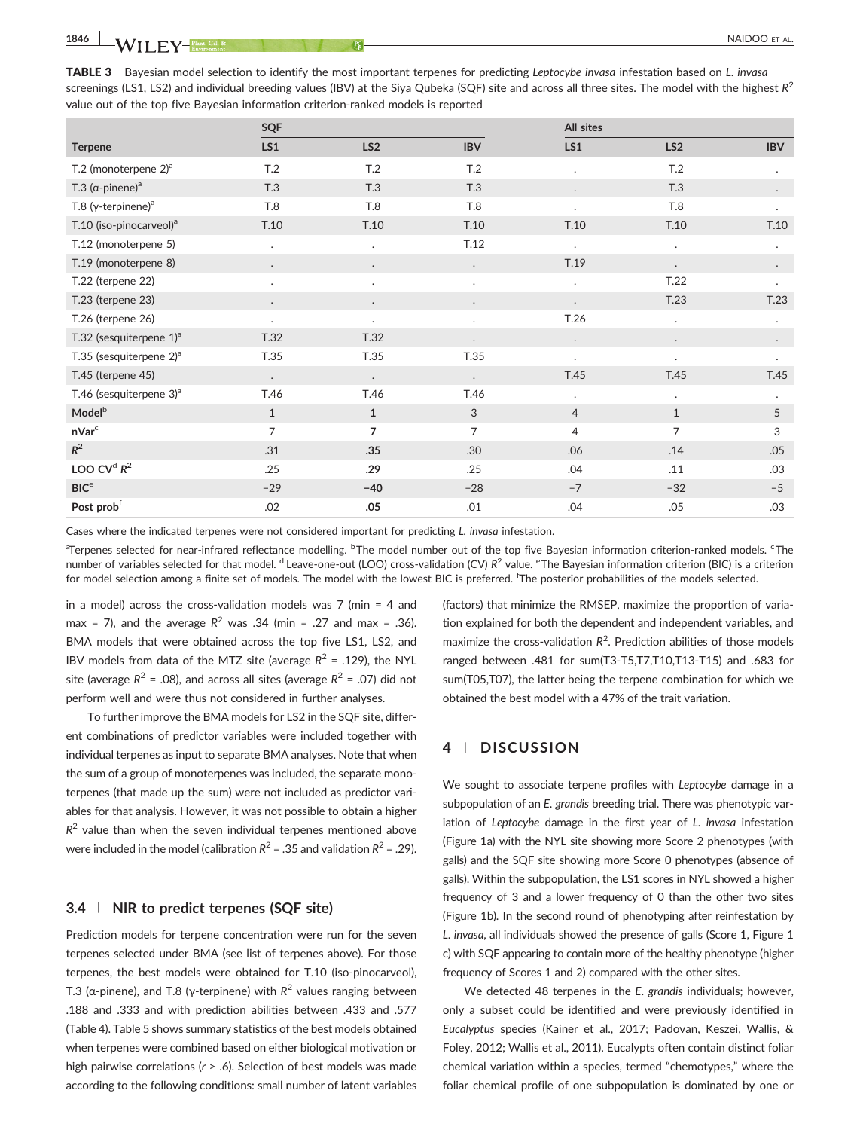TABLE 3 Bayesian model selection to identify the most important terpenes for predicting Leptocybe invasa infestation based on L. invasa screenings (LS1, LS2) and individual breeding values (IBV) at the Siya Qubeka (SQF) site and across all three sites. The model with the highest  $R^2$ value out of the top five Bayesian information criterion‐ranked models is reported

|                                        | SQF                  |                      |            | All sites            |                      |                |
|----------------------------------------|----------------------|----------------------|------------|----------------------|----------------------|----------------|
| <b>Terpene</b>                         | LS1                  | LS <sub>2</sub>      | <b>IBV</b> | LS1                  | LS <sub>2</sub>      | <b>IBV</b>     |
| T.2 (monoterpene $2)^a$                | T.2                  | T.2                  | T.2        | $\ddot{\phantom{0}}$ | T.2                  | $\cdot$        |
| T.3 $(\alpha$ -pinene) <sup>a</sup>    | T.3                  | T.3                  | T.3        | $\bullet$            | T.3                  | $\bullet$      |
| T.8 (γ-terpinene) <sup>a</sup>         | T.8                  | <b>T.8</b>           | <b>T.8</b> | $\ddot{\phantom{0}}$ | T.8                  | $\cdot$        |
| T.10 (iso-pinocarveol) <sup>a</sup>    | T.10                 | T.10                 | T.10       | T.10                 | T.10                 | T.10           |
| T.12 (monoterpene 5)                   | $\ddot{\phantom{0}}$ | $\blacksquare$       | T.12       | $\ddot{\phantom{0}}$ | $\ddot{\phantom{0}}$ | $\cdot$        |
| T.19 (monoterpene 8)                   | $\bullet$            | $\bullet$            | $\cdot$    | T.19                 | $\bullet$            | $\cdot$        |
| T.22 (terpene 22)                      | $\cdot$              | $\ddot{\phantom{a}}$ | $\bullet$  | $\ddot{\phantom{0}}$ | T.22                 | $\cdot$        |
| T.23 (terpene 23)                      |                      |                      |            |                      | T.23                 | T.23           |
| T.26 (terpene 26)                      | $\cdot$              | $\ddot{\phantom{a}}$ | $\cdot$    | T.26                 | $\cdot$              | $\blacksquare$ |
| T.32 (sesquiterpene $1$ ) <sup>a</sup> | T.32                 | T.32                 | $\cdot$    | $\ddot{\phantom{0}}$ | $\bullet$            | $\bullet$      |
| T.35 (sesquiterpene $2)^a$             | T.35                 | T.35                 | T.35       | $\blacksquare$       | $\bullet$            | $\bullet$      |
| T.45 (terpene 45)                      | $\bullet$            | $\bullet$            | $\bullet$  | T.45                 | T.45                 | T.45           |
| T.46 (sesquiterpene $3$ ) <sup>a</sup> | T.46                 | T.46                 | T.46       | $\blacksquare$       | $\cdot$              | $\cdot$        |
| Model <sup>b</sup>                     | $\mathbf{1}$         | $\mathbf{1}$         | 3          | $\overline{4}$       | $\mathbf{1}$         | 5              |
| nVar <sup>c</sup>                      | 7                    | 7                    | 7          | 4                    | 7                    | 3              |
| $R^2$                                  | .31                  | .35                  | .30        | .06                  | .14                  | .05            |
| LOO CV <sup>d</sup> $R^2$              | .25                  | .29                  | .25        | .04                  | .11                  | .03            |
| BIC <sup>e</sup>                       | $-29$                | $-40$                | $-28$      | $-7$                 | $-32$                | $-5$           |
| Post prob <sup>f</sup>                 | .02                  | .05                  | .01        | .04                  | .05                  | .03            |

Cases where the indicated terpenes were not considered important for predicting L. invasa infestation.

<sup>a</sup>Terpenes selected for near-infrared reflectance modelling. <sup>b</sup>The model number out of the top five Bayesian information criterion-ranked models. <sup>c</sup>The number of variables selected for that model. <sup>d</sup> Leave-one-out (LOO) cross-validation (CV) R<sup>2</sup> value. <sup>e</sup>The Bayesian information criterion (BIC) is a criterion for model selection among a finite set of models. The model with the lowest BIC is preferred. <sup>f</sup>The posterior probabilities of the models selected.

in a model) across the cross‐validation models was 7 (min = 4 and max = 7), and the average  $R^2$  was .34 (min = .27 and max = .36). BMA models that were obtained across the top five LS1, LS2, and IBV models from data of the MTZ site (average  $R^2$  = .129), the NYL site (average  $R^2$  = .08), and across all sites (average  $R^2$  = .07) did not perform well and were thus not considered in further analyses.

To further improve the BMA models for LS2 in the SQF site, different combinations of predictor variables were included together with individual terpenes as input to separate BMA analyses. Note that when the sum of a group of monoterpenes was included, the separate monoterpenes (that made up the sum) were not included as predictor variables for that analysis. However, it was not possible to obtain a higher  $R<sup>2</sup>$  value than when the seven individual terpenes mentioned above were included in the model (calibration  $R^2$  = .35 and validation  $R^2$  = .29).

#### 3.4 | NIR to predict terpenes (SQF site)

Prediction models for terpene concentration were run for the seven terpenes selected under BMA (see list of terpenes above). For those terpenes, the best models were obtained for T.10 (iso-pinocarveol), T.3 (a-pinene), and T.8 (γ-terpinene) with  $R^2$  values ranging between .188 and .333 and with prediction abilities between .433 and .577 (Table 4). Table 5 shows summary statistics of the best models obtained when terpenes were combined based on either biological motivation or high pairwise correlations ( $r > .6$ ). Selection of best models was made according to the following conditions: small number of latent variables (factors) that minimize the RMSEP, maximize the proportion of variation explained for both the dependent and independent variables, and maximize the cross-validation  $R^2$ . Prediction abilities of those models ranged between .481 for sum(T3‐T5,T7,T10,T13‐T15) and .683 for sum(T05,T07), the latter being the terpene combination for which we obtained the best model with a 47% of the trait variation.

#### 4 | DISCUSSION

We sought to associate terpene profiles with Leptocybe damage in a subpopulation of an E. grandis breeding trial. There was phenotypic variation of Leptocybe damage in the first year of L. invasa infestation (Figure 1a) with the NYL site showing more Score 2 phenotypes (with galls) and the SQF site showing more Score 0 phenotypes (absence of galls). Within the subpopulation, the LS1 scores in NYL showed a higher frequency of 3 and a lower frequency of 0 than the other two sites (Figure 1b). In the second round of phenotyping after reinfestation by L. invasa, all individuals showed the presence of galls (Score 1, Figure 1 c) with SQF appearing to contain more of the healthy phenotype (higher frequency of Scores 1 and 2) compared with the other sites.

We detected 48 terpenes in the E. grandis individuals; however, only a subset could be identified and were previously identified in Eucalyptus species (Kainer et al., 2017; Padovan, Keszei, Wallis, & Foley, 2012; Wallis et al., 2011). Eucalypts often contain distinct foliar chemical variation within a species, termed "chemotypes," where the foliar chemical profile of one subpopulation is dominated by one or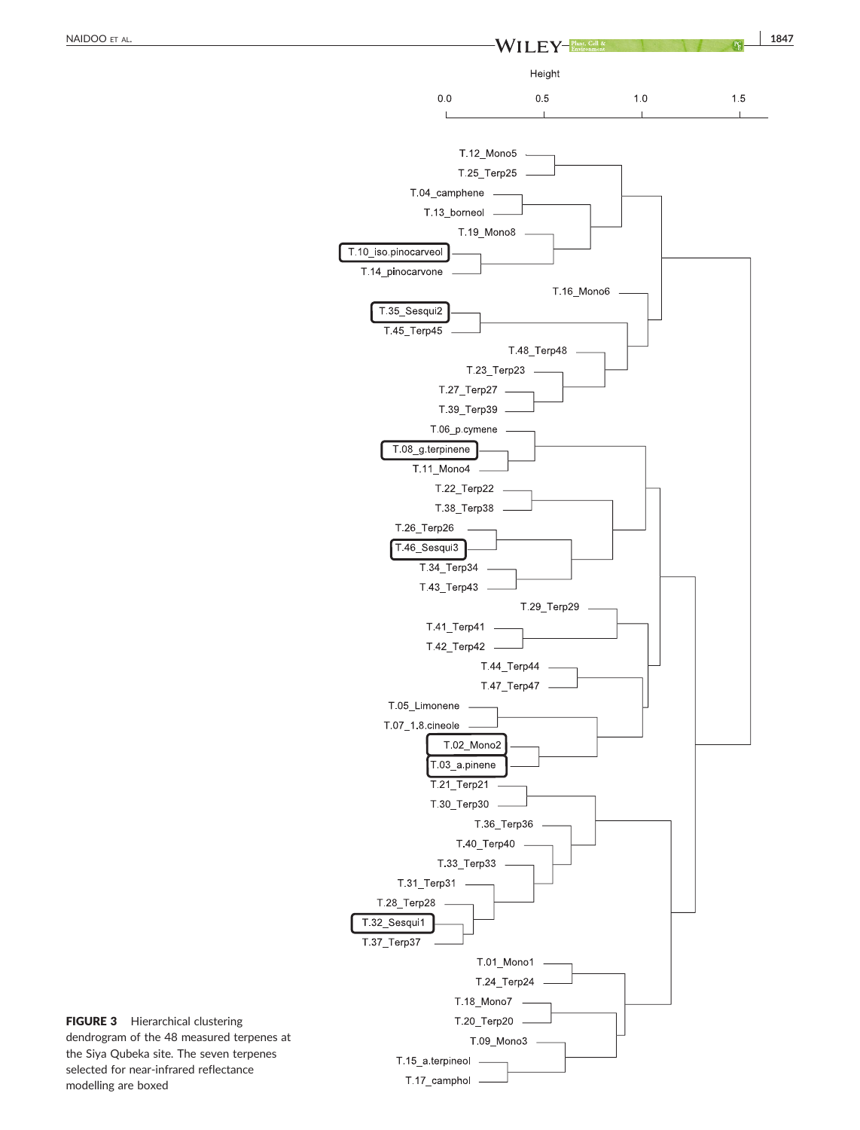

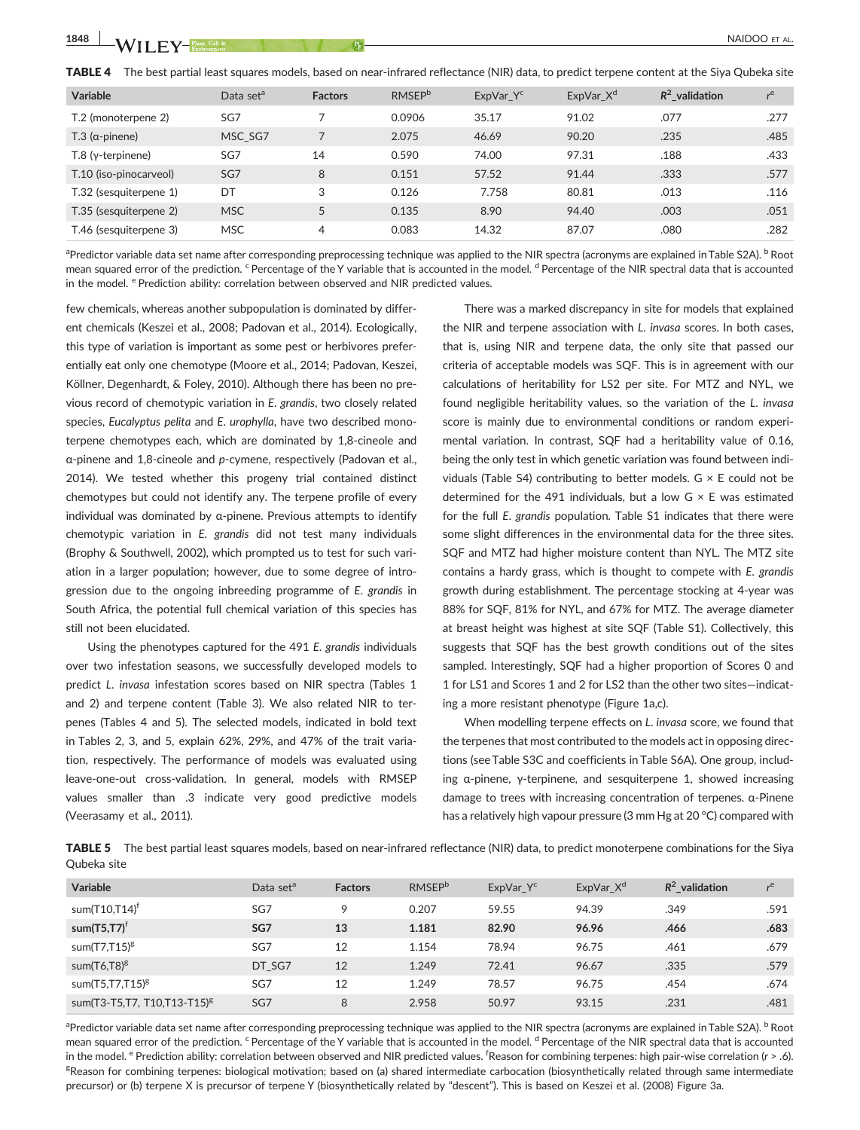| <b>Variable</b>              | Data set <sup>a</sup> | <b>Factors</b> | <b>RMSEP</b> <sup>b</sup> | ExpVar $Y^c$ | ExpVar $X^{\alpha}$ | $R^2$ validation | $r$ e |
|------------------------------|-----------------------|----------------|---------------------------|--------------|---------------------|------------------|-------|
| T.2 (monoterpene 2)          | SG7                   | 7              | 0.0906                    | 35.17        | 91.02               | .077             | .277  |
| $T.3$ (a-pinene)             | MSC SG7               |                | 2.075                     | 46.69        | 90.20               | .235             | .485  |
| $T.8$ ( $\gamma$ -terpinene) | SG7                   | 14             | 0.590                     | 74.00        | 97.31               | .188             | .433  |
| T.10 (iso-pinocarveol)       | SG7                   | 8              | 0.151                     | 57.52        | 91.44               | .333             | .577  |
| T.32 (sesquiterpene 1)       | DT                    | 3              | 0.126                     | 7.758        | 80.81               | .013             | .116  |
| T.35 (sesquiterpene 2)       | <b>MSC</b>            | 5              | 0.135                     | 8.90         | 94.40               | .003             | .051  |
| T.46 (sesquiterpene 3)       | <b>MSC</b>            | 4              | 0.083                     | 14.32        | 87.07               | .080             | .282  |

 $^{\text{a}}$ Predictor variable data set name after corresponding preprocessing technique was applied to the NIR spectra (acronyms are explained in Table S2A).  $^{\text{b}}$  Root mean squared error of the prediction. <sup>c</sup> Percentage of the Y variable that is accounted in the model. <sup>d</sup> Percentage of the NIR spectral data that is accounted in the model. <sup>e</sup> Prediction ability: correlation between observed and NIR predicted values.

few chemicals, whereas another subpopulation is dominated by different chemicals (Keszei et al., 2008; Padovan et al., 2014). Ecologically, this type of variation is important as some pest or herbivores preferentially eat only one chemotype (Moore et al., 2014; Padovan, Keszei, Köllner, Degenhardt, & Foley, 2010). Although there has been no previous record of chemotypic variation in E. grandis, two closely related species, Eucalyptus pelita and E. urophylla, have two described monoterpene chemotypes each, which are dominated by 1,8‐cineole and α‐pinene and 1,8‐cineole and p‐cymene, respectively (Padovan et al., 2014). We tested whether this progeny trial contained distinct chemotypes but could not identify any. The terpene profile of every individual was dominated by α‐pinene. Previous attempts to identify chemotypic variation in E. grandis did not test many individuals (Brophy & Southwell, 2002), which prompted us to test for such variation in a larger population; however, due to some degree of introgression due to the ongoing inbreeding programme of E. grandis in South Africa, the potential full chemical variation of this species has still not been elucidated.

Using the phenotypes captured for the 491 E. grandis individuals over two infestation seasons, we successfully developed models to predict L. invasa infestation scores based on NIR spectra (Tables 1 and 2) and terpene content (Table 3). We also related NIR to terpenes (Tables 4 and 5). The selected models, indicated in bold text in Tables 2, 3, and 5, explain 62%, 29%, and 47% of the trait variation, respectively. The performance of models was evaluated using leave‐one‐out cross‐validation. In general, models with RMSEP values smaller than .3 indicate very good predictive models (Veerasamy et al., 2011).

There was a marked discrepancy in site for models that explained the NIR and terpene association with L. invasa scores. In both cases, that is, using NIR and terpene data, the only site that passed our criteria of acceptable models was SQF. This is in agreement with our calculations of heritability for LS2 per site. For MTZ and NYL, we found negligible heritability values, so the variation of the L. invasa score is mainly due to environmental conditions or random experimental variation. In contrast, SQF had a heritability value of 0.16, being the only test in which genetic variation was found between individuals (Table S4) contributing to better models.  $G \times E$  could not be determined for the 491 individuals, but a low  $G \times E$  was estimated for the full E. grandis population. Table S1 indicates that there were some slight differences in the environmental data for the three sites. SQF and MTZ had higher moisture content than NYL. The MTZ site contains a hardy grass, which is thought to compete with E. grandis growth during establishment. The percentage stocking at 4‐year was 88% for SQF, 81% for NYL, and 67% for MTZ. The average diameter at breast height was highest at site SQF (Table S1). Collectively, this suggests that SQF has the best growth conditions out of the sites sampled. Interestingly, SQF had a higher proportion of Scores 0 and 1 for LS1 and Scores 1 and 2 for LS2 than the other two sites—indicating a more resistant phenotype (Figure 1a,c).

When modelling terpene effects on L. invasa score, we found that the terpenes that most contributed to the models act in opposing directions (see Table S3C and coefficients in Table S6A). One group, including α‐pinene, γ‐terpinene, and sesquiterpene 1, showed increasing damage to trees with increasing concentration of terpenes. α‐Pinene has a relatively high vapour pressure (3 mm Hg at 20 °C) compared with

TABLE 5 The best partial least squares models, based on near-infrared reflectance (NIR) data, to predict monoterpene combinations for the Siya Qubeka site

| Variable                                | Data set <sup>a</sup> | <b>Factors</b> | <b>RMSEP</b> <sup>b</sup> | ExpVar Y <sup>c</sup> | ExpVar $X^d$ | $R^2$ validation | $r$ e |
|-----------------------------------------|-----------------------|----------------|---------------------------|-----------------------|--------------|------------------|-------|
| sum $(T10,T14)^t$                       | SG7                   | 9              | 0.207                     | 59.55                 | 94.39        | .349             | .591  |
| sum $(T5, T7)^f$                        | SG7                   | 13             | 1.181                     | 82.90                 | 96.96        | .466             | .683  |
| sum $(T7,T15)^g$                        | SG7                   | 12             | 1.154                     | 78.94                 | 96.75        | .461             | .679  |
| sum(T6,T8) <sup>g</sup>                 | DT SG7                | 12             | 1.249                     | 72.41                 | 96.67        | .335             | .579  |
| sum $(T5, T7, T15)^g$                   | SG7                   | 12             | 1.249                     | 78.57                 | 96.75        | .454             | .674  |
| sum(T3-T5,T7, T10,T13-T15) <sup>g</sup> | SG7                   | 8              | 2.958                     | 50.97                 | 93.15        | .231             | .481  |

<sup>a</sup>Predictor variable data set name after corresponding preprocessing technique was applied to the NIR spectra (acronyms are explained in Table S2A). <sup>b</sup> Root mean squared error of the prediction. <sup>c</sup> Percentage of the Y variable that is accounted in the model. <sup>d</sup> Percentage of the NIR spectral data that is accounted in the model. <sup>e</sup> Prediction ability: correlation between observed and NIR predicted values. <sup>f</sup>Reason for combining terpenes: high pair-wise correlation (r > .6). <sup>g</sup>Reason for combining terpenes: biological motivation; based on (a) shared intermediate carbocation (biosynthetically related through same intermediate precursor) or (b) terpene X is precursor of terpene Y (biosynthetically related by "descent"). This is based on Keszei et al. (2008) Figure 3a.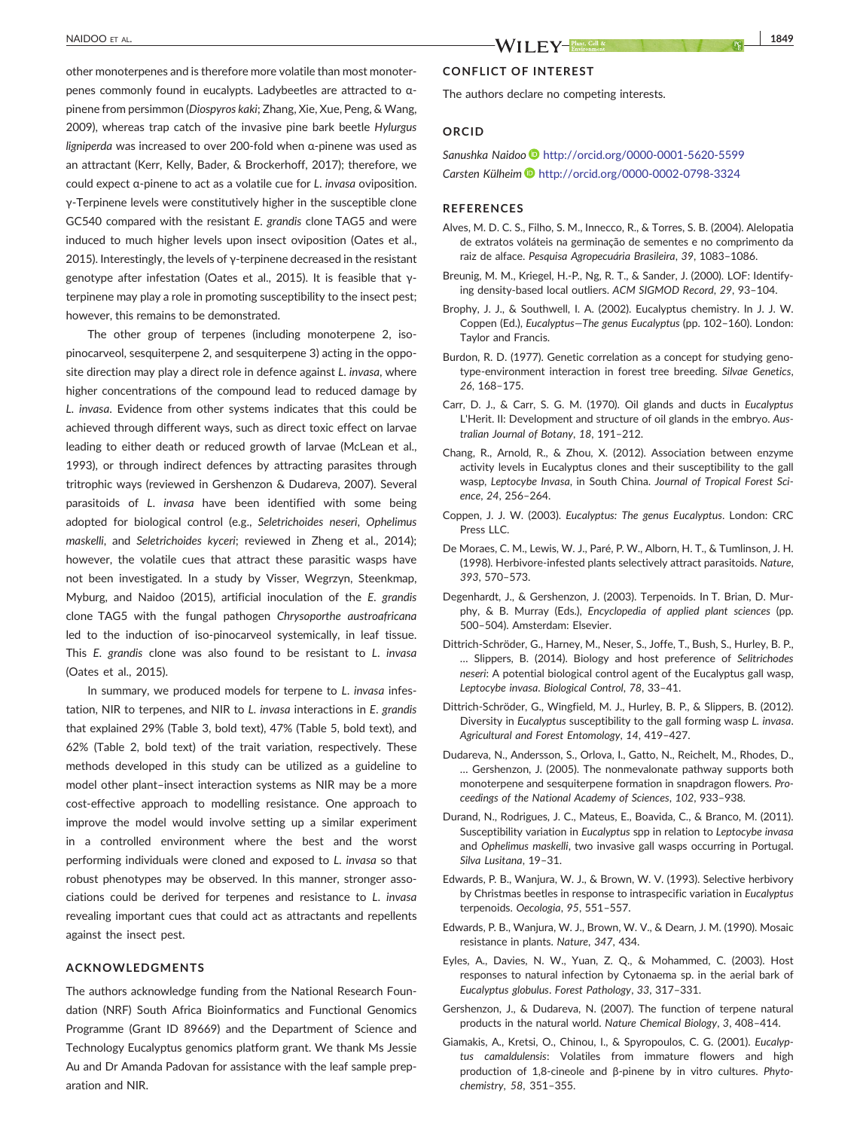other monoterpenes and is therefore more volatile than most monoterpenes commonly found in eucalypts. Ladybeetles are attracted to α‐ pinene from persimmon (Diospyros kaki; Zhang, Xie, Xue, Peng, & Wang, 2009), whereas trap catch of the invasive pine bark beetle Hylurgus ligniperda was increased to over 200‐fold when α‐pinene was used as an attractant (Kerr, Kelly, Bader, & Brockerhoff, 2017); therefore, we could expect α‐pinene to act as a volatile cue for L. invasa oviposition. γ‐Terpinene levels were constitutively higher in the susceptible clone GC540 compared with the resistant E. grandis clone TAG5 and were induced to much higher levels upon insect oviposition (Oates et al., 2015). Interestingly, the levels of γ‐terpinene decreased in the resistant genotype after infestation (Oates et al., 2015). It is feasible that γ‐ terpinene may play a role in promoting susceptibility to the insect pest; however, this remains to be demonstrated.

The other group of terpenes (including monoterpene 2, isopinocarveol, sesquiterpene 2, and sesquiterpene 3) acting in the opposite direction may play a direct role in defence against L. invasa, where higher concentrations of the compound lead to reduced damage by L. invasa. Evidence from other systems indicates that this could be achieved through different ways, such as direct toxic effect on larvae leading to either death or reduced growth of larvae (McLean et al., 1993), or through indirect defences by attracting parasites through tritrophic ways (reviewed in Gershenzon & Dudareva, 2007). Several parasitoids of L. invasa have been identified with some being adopted for biological control (e.g., Seletrichoides neseri, Ophelimus maskelli, and Seletrichoides kyceri; reviewed in Zheng et al., 2014); however, the volatile cues that attract these parasitic wasps have not been investigated. In a study by Visser, Wegrzyn, Steenkmap, Myburg, and Naidoo (2015), artificial inoculation of the E. grandis clone TAG5 with the fungal pathogen Chrysoporthe austroafricana led to the induction of iso-pinocarveol systemically, in leaf tissue. This E. grandis clone was also found to be resistant to L. invasa (Oates et al., 2015).

In summary, we produced models for terpene to L. invasa infestation, NIR to terpenes, and NIR to L. invasa interactions in E. grandis that explained 29% (Table 3, bold text), 47% (Table 5, bold text), and 62% (Table 2, bold text) of the trait variation, respectively. These methods developed in this study can be utilized as a guideline to model other plant–insect interaction systems as NIR may be a more cost-effective approach to modelling resistance. One approach to improve the model would involve setting up a similar experiment in a controlled environment where the best and the worst performing individuals were cloned and exposed to L. invasa so that robust phenotypes may be observed. In this manner, stronger associations could be derived for terpenes and resistance to L. invasa revealing important cues that could act as attractants and repellents against the insect pest.

#### ACKNOWLEDGMENTS

The authors acknowledge funding from the National Research Foundation (NRF) South Africa Bioinformatics and Functional Genomics Programme (Grant ID 89669) and the Department of Science and Technology Eucalyptus genomics platform grant. We thank Ms Jessie Au and Dr Amanda Padovan for assistance with the leaf sample preparation and NIR.

# NAIDOO ET AL. 1849

#### CONFLICT OF INTEREST

The authors declare no competing interests.

#### ORCID

### Sanushka Naidoo <http://orcid.org/0000-0001-5620-5599> Carsten Külheim <http://orcid.org/0000-0002-0798-3324>

#### REFERENCES

- Alves, M. D. C. S., Filho, S. M., Innecco, R., & Torres, S. B. (2004). Alelopatia de extratos voláteis na germinação de sementes e no comprimento da raiz de alface. Pesquisa Agropecuária Brasileira, 39, 1083–1086.
- Breunig, M. M., Kriegel, H.‐P., Ng, R. T., & Sander, J. (2000). LOF: Identifying density-based local outliers. ACM SIGMOD Record, 29, 93-104.
- Brophy, J. J., & Southwell, I. A. (2002). Eucalyptus chemistry. In J. J. W. Coppen (Ed.), Eucalyptus—The genus Eucalyptus (pp. 102–160). London: Taylor and Francis.
- Burdon, R. D. (1977). Genetic correlation as a concept for studying genotype‐environment interaction in forest tree breeding. Silvae Genetics, 26, 168–175.
- Carr, D. J., & Carr, S. G. M. (1970). Oil glands and ducts in Eucalyptus L'Herit. II: Development and structure of oil glands in the embryo. Australian Journal of Botany, 18, 191–212.
- Chang, R., Arnold, R., & Zhou, X. (2012). Association between enzyme activity levels in Eucalyptus clones and their susceptibility to the gall wasp, Leptocybe Invasa, in South China. Journal of Tropical Forest Science, 24, 256–264.
- Coppen, J. J. W. (2003). Eucalyptus: The genus Eucalyptus. London: CRC Press LLC.
- De Moraes, C. M., Lewis, W. J., Paré, P. W., Alborn, H. T., & Tumlinson, J. H. (1998). Herbivore‐infested plants selectively attract parasitoids. Nature, 393, 570–573.
- Degenhardt, J., & Gershenzon, J. (2003). Terpenoids. In T. Brian, D. Murphy, & B. Murray (Eds.), Encyclopedia of applied plant sciences (pp. 500–504). Amsterdam: Elsevier.
- Dittrich‐Schröder, G., Harney, M., Neser, S., Joffe, T., Bush, S., Hurley, B. P., … Slippers, B. (2014). Biology and host preference of Selitrichodes neseri: A potential biological control agent of the Eucalyptus gall wasp, Leptocybe invasa. Biological Control, 78, 33–41.
- Dittrich‐Schröder, G., Wingfield, M. J., Hurley, B. P., & Slippers, B. (2012). Diversity in Eucalyptus susceptibility to the gall forming wasp L. invasa. Agricultural and Forest Entomology, 14, 419–427.
- Dudareva, N., Andersson, S., Orlova, I., Gatto, N., Reichelt, M., Rhodes, D., … Gershenzon, J. (2005). The nonmevalonate pathway supports both monoterpene and sesquiterpene formation in snapdragon flowers. Proceedings of the National Academy of Sciences, 102, 933–938.
- Durand, N., Rodrigues, J. C., Mateus, E., Boavida, C., & Branco, M. (2011). Susceptibility variation in Eucalyptus spp in relation to Leptocybe invasa and Ophelimus maskelli, two invasive gall wasps occurring in Portugal. Silva Lusitana, 19–31.
- Edwards, P. B., Wanjura, W. J., & Brown, W. V. (1993). Selective herbivory by Christmas beetles in response to intraspecific variation in Eucalyptus terpenoids. Oecologia, 95, 551–557.
- Edwards, P. B., Wanjura, W. J., Brown, W. V., & Dearn, J. M. (1990). Mosaic resistance in plants. Nature, 347, 434.
- Eyles, A., Davies, N. W., Yuan, Z. Q., & Mohammed, C. (2003). Host responses to natural infection by Cytonaema sp. in the aerial bark of Eucalyptus globulus. Forest Pathology, 33, 317–331.
- Gershenzon, J., & Dudareva, N. (2007). The function of terpene natural products in the natural world. Nature Chemical Biology, 3, 408–414.
- Giamakis, A., Kretsi, O., Chinou, I., & Spyropoulos, C. G. (2001). Eucalyptus camaldulensis: Volatiles from immature flowers and high production of 1,8‐cineole and β‐pinene by in vitro cultures. Phytochemistry, 58, 351–355.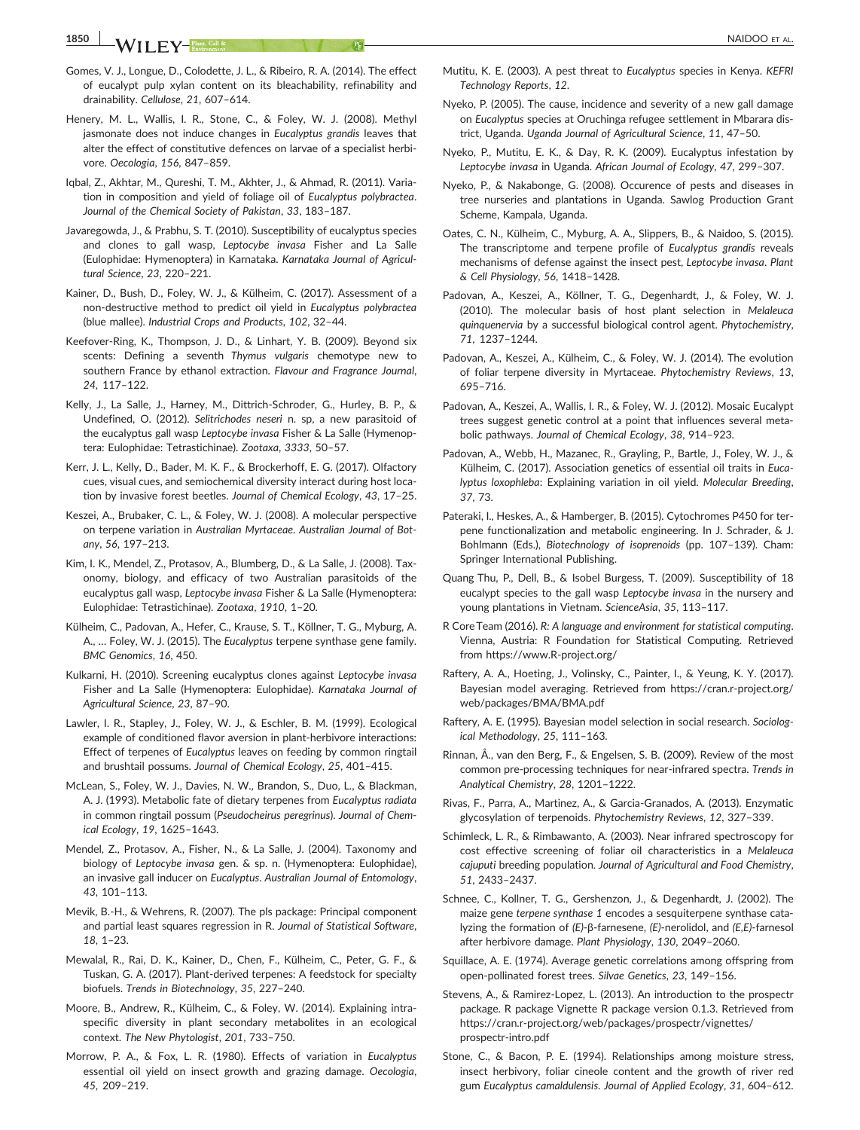- Gomes, V. J., Longue, D., Colodette, J. L., & Ribeiro, R. A. (2014). The effect of eucalypt pulp xylan content on its bleachability, refinability and drainability. Cellulose, 21, 607–614.
- Henery, M. L., Wallis, I. R., Stone, C., & Foley, W. J. (2008). Methyl jasmonate does not induce changes in Eucalyptus grandis leaves that alter the effect of constitutive defences on larvae of a specialist herbivore. Oecologia, 156, 847–859.
- Iqbal, Z., Akhtar, M., Qureshi, T. M., Akhter, J., & Ahmad, R. (2011). Variation in composition and yield of foliage oil of Eucalyptus polybractea. Journal of the Chemical Society of Pakistan, 33, 183–187.
- Javaregowda, J., & Prabhu, S. T. (2010). Susceptibility of eucalyptus species and clones to gall wasp, Leptocybe invasa Fisher and La Salle (Eulophidae: Hymenoptera) in Karnataka. Karnataka Journal of Agricultural Science, 23, 220–221.
- Kainer, D., Bush, D., Foley, W. J., & Külheim, C. (2017). Assessment of a non‐destructive method to predict oil yield in Eucalyptus polybractea (blue mallee). Industrial Crops and Products, 102, 32–44.
- Keefover‐Ring, K., Thompson, J. D., & Linhart, Y. B. (2009). Beyond six scents: Defining a seventh Thymus vulgaris chemotype new to southern France by ethanol extraction. Flavour and Fragrance Journal, 24, 117–122.
- Kelly, J., La Salle, J., Harney, M., Dittrich‐Schroder, G., Hurley, B. P., & Undefined, O. (2012). Selitrichodes neseri n. sp, a new parasitoid of the eucalyptus gall wasp Leptocybe invasa Fisher & La Salle (Hymenoptera: Eulophidae: Tetrastichinae). Zootaxa, 3333, 50–57.
- Kerr, J. L., Kelly, D., Bader, M. K. F., & Brockerhoff, E. G. (2017). Olfactory cues, visual cues, and semiochemical diversity interact during host location by invasive forest beetles. Journal of Chemical Ecology, 43, 17–25.
- Keszei, A., Brubaker, C. L., & Foley, W. J. (2008). A molecular perspective on terpene variation in Australian Myrtaceae. Australian Journal of Botany, 56, 197–213.
- Kim, I. K., Mendel, Z., Protasov, A., Blumberg, D., & La Salle, J. (2008). Taxonomy, biology, and efficacy of two Australian parasitoids of the eucalyptus gall wasp, Leptocybe invasa Fisher & La Salle (Hymenoptera: Eulophidae: Tetrastichinae). Zootaxa, 1910, 1–20.
- Külheim, C., Padovan, A., Hefer, C., Krause, S. T., Köllner, T. G., Myburg, A. A., … Foley, W. J. (2015). The Eucalyptus terpene synthase gene family. BMC Genomics, 16, 450.
- Kulkarni, H. (2010). Screening eucalyptus clones against Leptocybe invasa Fisher and La Salle (Hymenoptera: Eulophidae). Karnataka Journal of Agricultural Science, 23, 87–90.
- Lawler, I. R., Stapley, J., Foley, W. J., & Eschler, B. M. (1999). Ecological example of conditioned flavor aversion in plant‐herbivore interactions: Effect of terpenes of Eucalyptus leaves on feeding by common ringtail and brushtail possums. Journal of Chemical Ecology, 25, 401–415.
- McLean, S., Foley, W. J., Davies, N. W., Brandon, S., Duo, L., & Blackman, A. J. (1993). Metabolic fate of dietary terpenes from Eucalyptus radiata in common ringtail possum (Pseudocheirus peregrinus). Journal of Chemical Ecology, 19, 1625–1643.
- Mendel, Z., Protasov, A., Fisher, N., & La Salle, J. (2004). Taxonomy and biology of Leptocybe invasa gen. & sp. n. (Hymenoptera: Eulophidae), an invasive gall inducer on Eucalyptus. Australian Journal of Entomology, 43, 101–113.
- Mevik, B.‐H., & Wehrens, R. (2007). The pls package: Principal component and partial least squares regression in R. Journal of Statistical Software, 18, 1–23.
- Mewalal, R., Rai, D. K., Kainer, D., Chen, F., Külheim, C., Peter, G. F., & Tuskan, G. A. (2017). Plant‐derived terpenes: A feedstock for specialty biofuels. Trends in Biotechnology, 35, 227–240.
- Moore, B., Andrew, R., Külheim, C., & Foley, W. (2014). Explaining intraspecific diversity in plant secondary metabolites in an ecological context. The New Phytologist, 201, 733–750.
- Morrow, P. A., & Fox, L. R. (1980). Effects of variation in Eucalyptus essential oil yield on insect growth and grazing damage. Oecologia, 45, 209–219.
- Mutitu, K. E. (2003). A pest threat to Eucalyptus species in Kenya. KEFRI Technology Reports, 12.
- Nyeko, P. (2005). The cause, incidence and severity of a new gall damage on Eucalyptus species at Oruchinga refugee settlement in Mbarara district, Uganda. Uganda Journal of Agricultural Science, 11, 47–50.
- Nyeko, P., Mutitu, E. K., & Day, R. K. (2009). Eucalyptus infestation by Leptocybe invasa in Uganda. African Journal of Ecology, 47, 299–307.
- Nyeko, P., & Nakabonge, G. (2008). Occurence of pests and diseases in tree nurseries and plantations in Uganda. Sawlog Production Grant Scheme, Kampala, Uganda.
- Oates, C. N., Külheim, C., Myburg, A. A., Slippers, B., & Naidoo, S. (2015). The transcriptome and terpene profile of Eucalyptus grandis reveals mechanisms of defense against the insect pest, Leptocybe invasa. Plant & Cell Physiology, 56, 1418–1428.
- Padovan, A., Keszei, A., Köllner, T. G., Degenhardt, J., & Foley, W. J. (2010). The molecular basis of host plant selection in Melaleuca quinquenervia by a successful biological control agent. Phytochemistry, 71, 1237–1244.
- Padovan, A., Keszei, A., Külheim, C., & Foley, W. J. (2014). The evolution of foliar terpene diversity in Myrtaceae. Phytochemistry Reviews, 13, 695–716.
- Padovan, A., Keszei, A., Wallis, I. R., & Foley, W. J. (2012). Mosaic Eucalypt trees suggest genetic control at a point that influences several metabolic pathways. Journal of Chemical Ecology, 38, 914–923.
- Padovan, A., Webb, H., Mazanec, R., Grayling, P., Bartle, J., Foley, W. J., & Külheim, C. (2017). Association genetics of essential oil traits in Eucalyptus loxophleba: Explaining variation in oil yield. Molecular Breeding, 37, 73.
- Pateraki, I., Heskes, A., & Hamberger, B. (2015). Cytochromes P450 for terpene functionalization and metabolic engineering. In J. Schrader, & J. Bohlmann (Eds.), Biotechnology of isoprenoids (pp. 107–139). Cham: Springer International Publishing.
- Quang Thu, P., Dell, B., & Isobel Burgess, T. (2009). Susceptibility of 18 eucalypt species to the gall wasp Leptocybe invasa in the nursery and young plantations in Vietnam. ScienceAsia, 35, 113–117.
- R Core Team (2016). R: A language and environment for statistical computing. Vienna, Austria: R Foundation for Statistical Computing. Retrieved from [https://www.R](https://www.R-project.org/)‐project.org/
- Raftery, A. A., Hoeting, J., Volinsky, C., Painter, I., & Yeung, K. Y. (2017). Bayesian model averaging. Retrieved from [https://cran.r](https://cran.r-project.org/web/packages/BMA/BMA.pdf)‐project.org/ [web/packages/BMA/BMA.pdf](https://cran.r-project.org/web/packages/BMA/BMA.pdf)
- Raftery, A. E. (1995). Bayesian model selection in social research. Sociological Methodology, 25, 111–163.
- Rinnan, Å., van den Berg, F., & Engelsen, S. B. (2009). Review of the most common pre-processing techniques for near-infrared spectra. Trends in Analytical Chemistry, 28, 1201–1222.
- Rivas, F., Parra, A., Martinez, A., & Garcia‐Granados, A. (2013). Enzymatic glycosylation of terpenoids. Phytochemistry Reviews, 12, 327–339.
- Schimleck, L. R., & Rimbawanto, A. (2003). Near infrared spectroscopy for cost effective screening of foliar oil characteristics in a Melaleuca cajuputi breeding population. Journal of Agricultural and Food Chemistry, 51, 2433–2437.
- Schnee, C., Kollner, T. G., Gershenzon, J., & Degenhardt, J. (2002). The maize gene terpene synthase 1 encodes a sesquiterpene synthase catalyzing the formation of (E)‐β‐farnesene, (E)‐nerolidol, and (E,E)‐farnesol after herbivore damage. Plant Physiology, 130, 2049–2060.
- Squillace, A. E. (1974). Average genetic correlations among offspring from open‐pollinated forest trees. Silvae Genetics, 23, 149–156.
- Stevens, A., & Ramirez‐Lopez, L. (2013). An introduction to the prospectr package. R package Vignette R package version 0.1.3. Retrieved from https://cran.r‐[project.org/web/packages/prospectr/vignettes/](https://cran.r-project.org/web/packages/prospectr/vignettes/prospectr-intro.pdf) [prospectr](https://cran.r-project.org/web/packages/prospectr/vignettes/prospectr-intro.pdf)‐intro.pdf
- Stone, C., & Bacon, P. E. (1994). Relationships among moisture stress, insect herbivory, foliar cineole content and the growth of river red gum Eucalyptus camaldulensis. Journal of Applied Ecology, 31, 604–612.